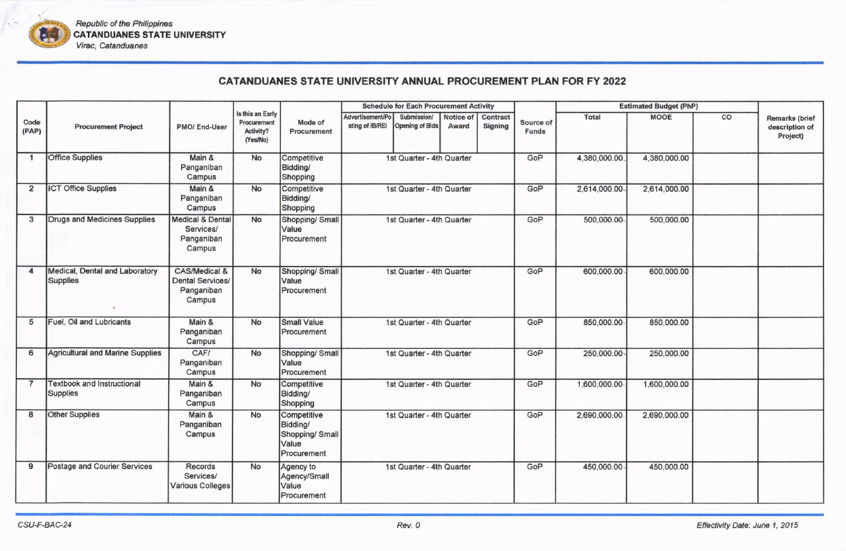

Republic of the Philippines **CATANDUANES STATE UNIVERSITY** Virac, Catanduanes

## **CATANDUANES STATE UNIVERSITY ANNUAL PROCUREMENT PLAN FOR FY 2022**

|                      |                                                   |                                                                  |                                                          |                                                                    | <b>Schedule for Each Procurement Activity</b> |                                |                    |                            |                           |               | <b>Estimated Budget (PhP)</b> |    |                                                     |
|----------------------|---------------------------------------------------|------------------------------------------------------------------|----------------------------------------------------------|--------------------------------------------------------------------|-----------------------------------------------|--------------------------------|--------------------|----------------------------|---------------------------|---------------|-------------------------------|----|-----------------------------------------------------|
| Code<br>(PAP)        | <b>Procurement Project</b>                        | <b>PMO/End-User</b>                                              | Is this an Early<br>Procurement<br>Activity?<br>(Yes/No) | Mode of<br>Procurement                                             | Advertisement/Po<br>sting of IB/REI           | Submission/<br>Opening of Bids | Notice of<br>Award | Contract<br><b>Signing</b> | Source of<br><b>Funds</b> | Total         | <b>MOOE</b>                   | co | <b>Remarks (brief</b><br>description of<br>Project) |
| $\blacktriangleleft$ | <b>Office Supplies</b>                            | Main &<br>Panganiban<br>Campus                                   | No                                                       | Competitive<br>Bidding/<br>Shopping                                |                                               | 1st Quarter - 4th Quarter      |                    |                            | GoP                       | 4,380,000.00. | 4,380,000.00                  |    |                                                     |
| $\overline{2}$       | <b>ICT Office Supplies</b>                        | Main &<br>Panganiban<br>Campus                                   | No                                                       | Competitive<br>Bidding/<br>Shopping                                |                                               | 1st Quarter - 4th Quarter      |                    |                            | GoP                       | 2,614,000.00  | 2,614,000.00                  |    |                                                     |
| 3                    | Drugs and Medicines Supplies                      | <b>Medical &amp; Dental</b><br>Services/<br>Panganiban<br>Campus | No                                                       | Shopping/ Small<br>Value<br>Procurement                            |                                               | 1st Quarter - 4th Quarter      |                    |                            | GoP                       | 500,000.00    | 500,000.00                    |    |                                                     |
| 4                    | Medical, Dental and Laboratory<br><b>Supplies</b> | CAS/Medical &<br><b>Dental Services/</b><br>Panganiban<br>Campus | No                                                       | Shopping/ Small<br>Value<br>Procurement                            |                                               | 1st Quarter - 4th Quarter      |                    |                            | GoP                       | 600,000.00    | 600,000.00                    |    |                                                     |
| 5                    | Fuel, Oil and Lubricants                          | Main &<br>Panganiban<br>Campus                                   | No                                                       | <b>Small Value</b><br>Procurement                                  |                                               | 1st Quarter - 4th Quarter      |                    |                            | GoP                       | 850,000.00    | 850,000.00                    |    |                                                     |
| 6                    | Agricultural and Marine Supplies                  | CAF/<br>Panganiban<br>Campus                                     | No                                                       | Shopping/ Small<br>Value<br>Procurement                            |                                               | 1st Quarter - 4th Quarter      |                    |                            | GoP                       | 250,000.00    | 250,000.00                    |    |                                                     |
| $\overline{7}$       | <b>Textbook and Instructional</b><br>Supplies     | Main &<br>Panganiban<br>Campus                                   | <b>No</b>                                                | Competitive<br>Bidding/<br>Shopping                                |                                               | 1st Quarter - 4th Quarter      |                    |                            | GoP                       | 1,600,000.00  | 1,600,000.00                  |    |                                                     |
| 8                    | <b>Other Supplies</b>                             | Main &<br>Panganiban<br>Campus                                   | <b>No</b>                                                | Competitive<br>Bidding/<br>Shopping/ Small<br>Value<br>Procurement |                                               | 1st Quarter - 4th Quarter      |                    |                            | GoP                       | 2,690,000.00  | 2,690,000.00                  |    |                                                     |
| 9                    | Postage and Courier Services                      | Records<br>Services/<br>Various Colleges                         | No                                                       | Agency to<br>Agency/Small<br>Value<br>Procurement                  |                                               | 1st Quarter - 4th Quarter      |                    |                            | GoP                       | 450,000.00    | 450,000.00                    |    |                                                     |